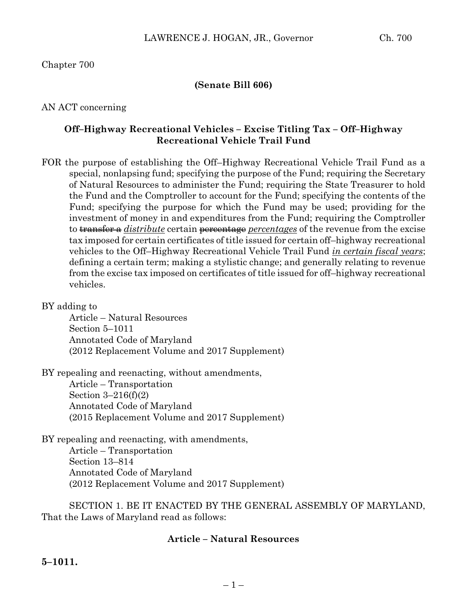Chapter 700

## **(Senate Bill 606)**

AN ACT concerning

## **Off–Highway Recreational Vehicles – Excise Titling Tax – Off–Highway Recreational Vehicle Trail Fund**

FOR the purpose of establishing the Off–Highway Recreational Vehicle Trail Fund as a special, nonlapsing fund; specifying the purpose of the Fund; requiring the Secretary of Natural Resources to administer the Fund; requiring the State Treasurer to hold the Fund and the Comptroller to account for the Fund; specifying the contents of the Fund; specifying the purpose for which the Fund may be used; providing for the investment of money in and expenditures from the Fund; requiring the Comptroller to transfer a *distribute* certain percentage *percentages* of the revenue from the excise tax imposed for certain certificates of title issued for certain off–highway recreational vehicles to the Off–Highway Recreational Vehicle Trail Fund *in certain fiscal years*; defining a certain term; making a stylistic change; and generally relating to revenue from the excise tax imposed on certificates of title issued for off–highway recreational vehicles.

BY adding to

Article – Natural Resources Section 5–1011 Annotated Code of Maryland (2012 Replacement Volume and 2017 Supplement)

BY repealing and reenacting, without amendments,

Article – Transportation Section 3–216(f)(2) Annotated Code of Maryland (2015 Replacement Volume and 2017 Supplement)

BY repealing and reenacting, with amendments, Article – Transportation Section 13–814 Annotated Code of Maryland (2012 Replacement Volume and 2017 Supplement)

SECTION 1. BE IT ENACTED BY THE GENERAL ASSEMBLY OF MARYLAND, That the Laws of Maryland read as follows:

### **Article – Natural Resources**

**5–1011.**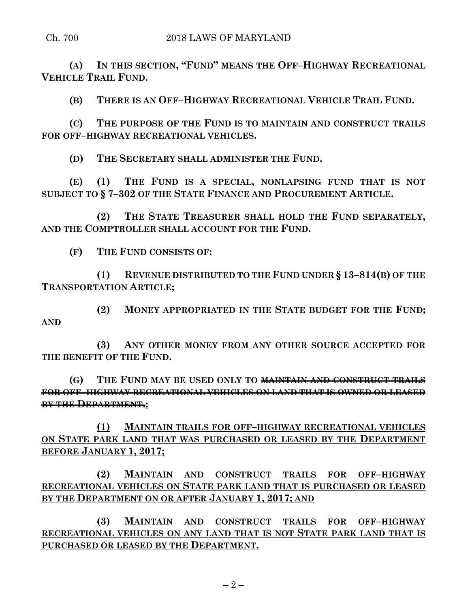**(A) IN THIS SECTION, "FUND" MEANS THE OFF–HIGHWAY RECREATIONAL VEHICLE TRAIL FUND.**

**(B) THERE IS AN OFF–HIGHWAY RECREATIONAL VEHICLE TRAIL FUND.**

**(C) THE PURPOSE OF THE FUND IS TO MAINTAIN AND CONSTRUCT TRAILS FOR OFF–HIGHWAY RECREATIONAL VEHICLES.**

**(D) THE SECRETARY SHALL ADMINISTER THE FUND.**

**(E) (1) THE FUND IS A SPECIAL, NONLAPSING FUND THAT IS NOT SUBJECT TO § 7–302 OF THE STATE FINANCE AND PROCUREMENT ARTICLE.**

**(2) THE STATE TREASURER SHALL HOLD THE FUND SEPARATELY, AND THE COMPTROLLER SHALL ACCOUNT FOR THE FUND.**

**(F) THE FUND CONSISTS OF:**

**(1) REVENUE DISTRIBUTED TO THE FUND UNDER § 13–814(B) OF THE TRANSPORTATION ARTICLE;**

**(2) MONEY APPROPRIATED IN THE STATE BUDGET FOR THE FUND; AND**

**(3) ANY OTHER MONEY FROM ANY OTHER SOURCE ACCEPTED FOR THE BENEFIT OF THE FUND.**

**(G) THE FUND MAY BE USED ONLY TO MAINTAIN AND CONSTRUCT TRAILS FOR OFF–HIGHWAY RECREATIONAL VEHICLES ON LAND THAT IS OWNED OR LEASED BY THE DEPARTMENT.:**

**(1) MAINTAIN TRAILS FOR OFF–HIGHWAY RECREATIONAL VEHICLES ON STATE PARK LAND THAT WAS PURCHASED OR LEASED BY THE DEPARTMENT BEFORE JANUARY 1, 2017;**

**(2) MAINTAIN AND CONSTRUCT TRAILS FOR OFF–HIGHWAY RECREATIONAL VEHICLES ON STATE PARK LAND THAT IS PURCHASED OR LEASED BY THE DEPARTMENT ON OR AFTER JANUARY 1, 2017; AND**

**(3) MAINTAIN AND CONSTRUCT TRAILS FOR OFF–HIGHWAY RECREATIONAL VEHICLES ON ANY LAND THAT IS NOT STATE PARK LAND THAT IS PURCHASED OR LEASED BY THE DEPARTMENT.**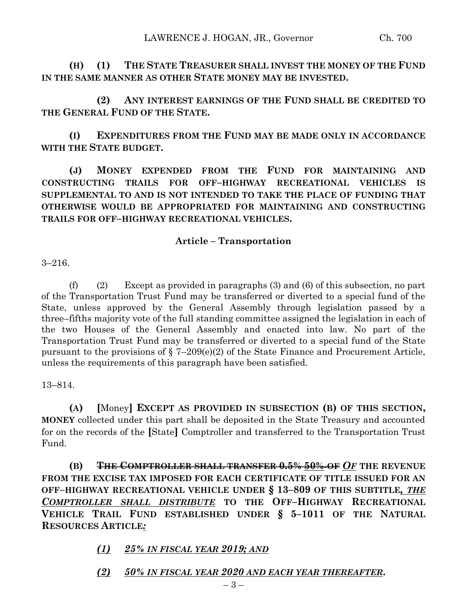**(H) (1) THE STATE TREASURER SHALL INVEST THE MONEY OF THE FUND IN THE SAME MANNER AS OTHER STATE MONEY MAY BE INVESTED.**

**(2) ANY INTEREST EARNINGS OF THE FUND SHALL BE CREDITED TO THE GENERAL FUND OF THE STATE.**

**(I) EXPENDITURES FROM THE FUND MAY BE MADE ONLY IN ACCORDANCE WITH THE STATE BUDGET.**

**(J) MONEY EXPENDED FROM THE FUND FOR MAINTAINING AND CONSTRUCTING TRAILS FOR OFF–HIGHWAY RECREATIONAL VEHICLES IS SUPPLEMENTAL TO AND IS NOT INTENDED TO TAKE THE PLACE OF FUNDING THAT OTHERWISE WOULD BE APPROPRIATED FOR MAINTAINING AND CONSTRUCTING TRAILS FOR OFF–HIGHWAY RECREATIONAL VEHICLES.**

## **Article – Transportation**

3–216.

(f) (2) Except as provided in paragraphs (3) and (6) of this subsection, no part of the Transportation Trust Fund may be transferred or diverted to a special fund of the State, unless approved by the General Assembly through legislation passed by a three–fifths majority vote of the full standing committee assigned the legislation in each of the two Houses of the General Assembly and enacted into law. No part of the Transportation Trust Fund may be transferred or diverted to a special fund of the State pursuant to the provisions of § 7–209(e)(2) of the State Finance and Procurement Article, unless the requirements of this paragraph have been satisfied.

13–814.

**(A) [**Money**] EXCEPT AS PROVIDED IN SUBSECTION (B) OF THIS SECTION, MONEY** collected under this part shall be deposited in the State Treasury and accounted for on the records of the **[**State**]** Comptroller and transferred to the Transportation Trust Fund.

**(B) THE COMPTROLLER SHALL TRANSFER 0.5% 50% OF** *OF* **THE REVENUE FROM THE EXCISE TAX IMPOSED FOR EACH CERTIFICATE OF TITLE ISSUED FOR AN OFF–HIGHWAY RECREATIONAL VEHICLE UNDER § 13–809 OF THIS SUBTITLE***, THE COMPTROLLER SHALL DISTRIBUTE* **TO THE OFF–HIGHWAY RECREATIONAL VEHICLE TRAIL FUND ESTABLISHED UNDER § 5–1011 OF THE NATURAL RESOURCES ARTICLE***:*

*(1) 25% IN FISCAL YEAR 2019; AND*

*(2) 50% IN FISCAL YEAR 2020 AND EACH YEAR THEREAFTER***.**